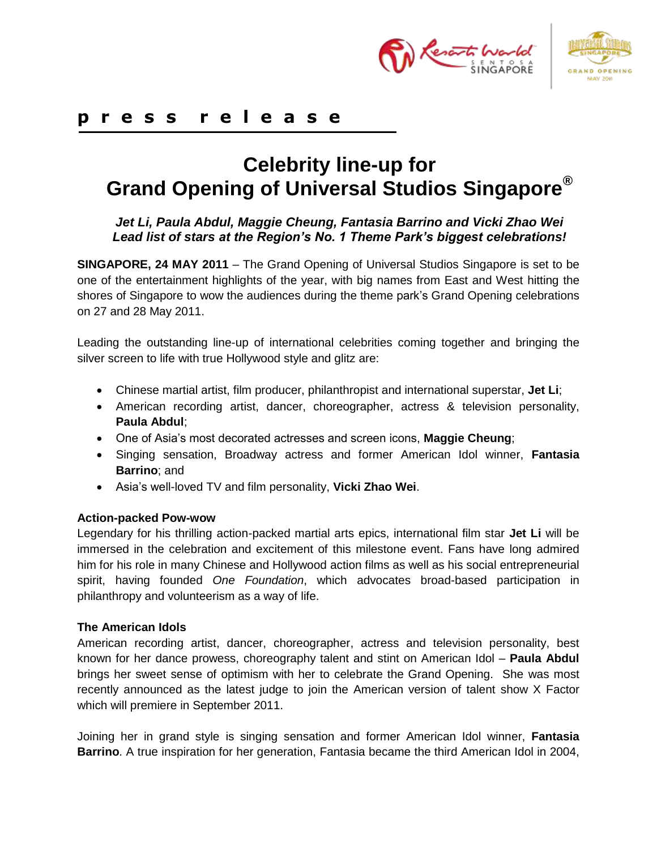



# **p r e s s r e l e a s e**

# **Celebrity line-up for Grand Opening of Universal Studios Singapore®**

## *Jet Li, Paula Abdul, Maggie Cheung, Fantasia Barrino and Vicki Zhao Wei Lead list of stars at the Region's No. 1 Theme Park's biggest celebrations!*

**SINGAPORE, 24 MAY 2011** – The Grand Opening of Universal Studios Singapore is set to be one of the entertainment highlights of the year, with big names from East and West hitting the shores of Singapore to wow the audiences during the theme park's Grand Opening celebrations on 27 and 28 May 2011.

Leading the outstanding line-up of international celebrities coming together and bringing the silver screen to life with true Hollywood style and glitz are:

- Chinese martial artist, film producer, philanthropist and international superstar, **Jet Li**;
- American recording artist, dancer, choreographer, actress & television personality, **Paula Abdul**;
- One of Asia's most decorated actresses and screen icons, **Maggie Cheung**;
- Singing sensation, Broadway actress and former American Idol winner, **Fantasia Barrino**; and
- Asia's well-loved TV and film personality, **Vicki Zhao Wei**.

#### **Action-packed Pow-wow**

Legendary for his thrilling action-packed martial arts epics, international film star **Jet Li** will be immersed in the celebration and excitement of this milestone event. Fans have long admired him for his role in many Chinese and Hollywood action films as well as his social entrepreneurial spirit, having founded *One Foundation*, which advocates broad-based participation in philanthropy and volunteerism as a way of life.

#### **The American Idols**

American [recording artist,](http://en.wikipedia.org/wiki/Recording_artist) dancer, [choreographer,](http://en.wikipedia.org/wiki/Choreography) actress and television personality, best known for her dance prowess, choreography talent and stint on American Idol – **Paula Abdul** brings her sweet sense of optimism with her to celebrate the Grand Opening. She was most recently announced as the latest judge to join the American version of talent show X Factor which will premiere in September 2011.

Joining her in grand style is singing sensation and former American Idol winner, **Fantasia Barrino**. A true inspiration for her generation, Fantasia became the third American Idol in 2004,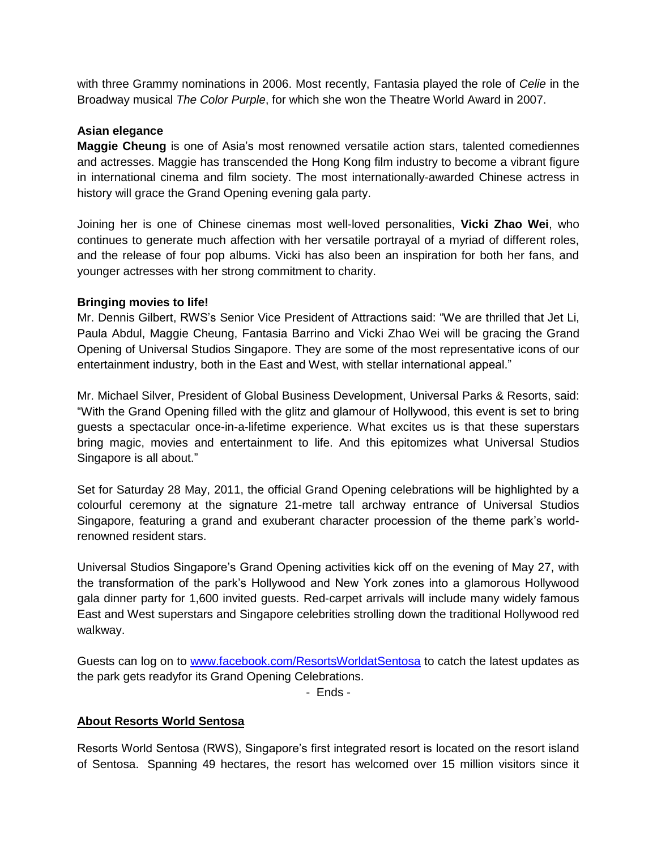with three Grammy nominations in 2006. Most recently, Fantasia played the role of *Celie* in the Broadway musical *The Color Purple*, for which she won the [Theatre World Award](http://en.wikipedia.org/wiki/Theatre_World_Award) in 2007.

#### **Asian elegance**

**Maggie Cheung** is one of Asia's most renowned versatile action stars, talented comediennes and actresses. Maggie has transcended the Hong Kong film industry to become a vibrant figure in international cinema and film society. The most internationally-awarded Chinese actress in history will grace the Grand Opening evening gala party.

Joining her is one of Chinese cinemas most well-loved personalities, **Vicki Zhao Wei**, who continues to generate much affection with her versatile portrayal of a myriad of different roles, and the release of four pop albums. Vicki has also been an inspiration for both her fans, and younger actresses with her strong commitment to charity.

#### **Bringing movies to life!**

Mr. Dennis Gilbert, RWS's Senior Vice President of Attractions said: "We are thrilled that Jet Li, Paula Abdul, Maggie Cheung, Fantasia Barrino and Vicki Zhao Wei will be gracing the Grand Opening of Universal Studios Singapore. They are some of the most representative icons of our entertainment industry, both in the East and West, with stellar international appeal."

Mr. Michael Silver, President of Global Business Development, Universal Parks & Resorts, said: "With the Grand Opening filled with the glitz and glamour of Hollywood, this event is set to bring guests a spectacular once-in-a-lifetime experience. What excites us is that these superstars bring magic, movies and entertainment to life. And this epitomizes what Universal Studios Singapore is all about."

Set for Saturday 28 May, 2011, the official Grand Opening celebrations will be highlighted by a colourful ceremony at the signature 21-metre tall archway entrance of Universal Studios Singapore, featuring a grand and exuberant character procession of the theme park's worldrenowned resident stars.

Universal Studios Singapore's Grand Opening activities kick off on the evening of May 27, with the transformation of the park's Hollywood and New York zones into a glamorous Hollywood gala dinner party for 1,600 invited guests. Red-carpet arrivals will include many widely famous East and West superstars and Singapore celebrities strolling down the traditional Hollywood red walkway.

Guests can log on to [www.facebook.com/ResortsWorldatSentosa](http://www.facebook.com/ResortsWorldatSentosa) to catch the latest updates as the park gets readyfor its Grand Opening Celebrations.

- Ends -

#### **About Resorts World Sentosa**

Resorts World Sentosa (RWS), Singapore's first integrated resort is located on the resort island of Sentosa. Spanning 49 hectares, the resort has welcomed over 15 million visitors since it